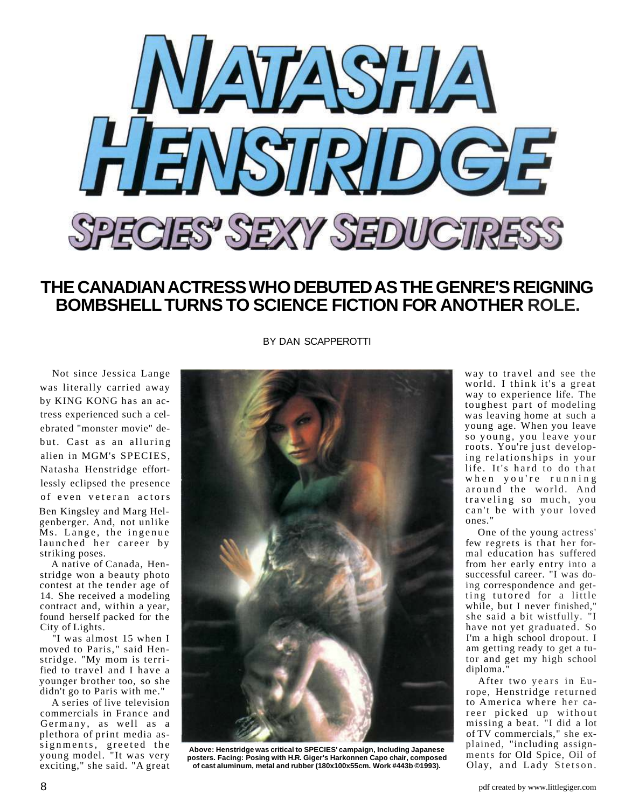

## **THE CANADIAN ACTRESS WHO DEBUTED AS THE GENRE'S REIGNING BOMBSHELL TURNS TO SCIENCE FICTION FOR ANOTHER ROLE.**

Not since Jessica Lange was literally carried away by KING KONG has an actress experienced such a celebrated "monster movie" debut. Cast as an alluring alien in MGM's SPECIES, Natasha Henstridge effortlessly eclipsed the presence of even veteran actors

Ben Kingsley and Marg Helgenberger. And, not unlike Ms. Lange, the ingenue launched her career by striking poses.

A native of Canada, Henstridge won a beauty photo contest at the tender age of 14. She received a modeling contract and, within a year, found herself packed for the City of Lights.

"I was almost 15 when I moved to Paris," said Henstridge. "My mom is terrified to travel and I have a younger brother too, so she didn't go to Paris with me."

A series of live television commercials in France and Germany, as well as a plethora of print media assignments, greeted the young model. "It was very exciting," she said. "A great BY DAN SCAPPEROTTI



**Above: Henstridge was critical to SPECIES' campaign, Including Japanese posters. Facing: Posing with H.R. Giger's Harkonnen Capo chair, composed of cast aluminum, metal and rubber (180x100x55cm. Work #443b ©1993).**

way to travel and see the world. I think it's a great way to experience life. The toughest part of modeling was leaving home at such a young age. When you leave so young, you leave your roots. You're just developing relationships in your life. It's hard to do that when you're running around the world. And traveling so much, you can't be with your loved ones."

One of the young actress' few regrets is that her formal education has suffered from her early entry into a successful career. "I was doing correspondence and getting tutored for a little while, but I never finished," she said a bit wistfully. "I have not yet graduated. So I'm a high school dropout. I am getting ready to get a tutor and get my high school diploma."

After two years in Europe, Henstridge returned to America where her career picked up without missing a beat. "I did a lot of TV commercials," she explained, "including assignments for Old Spice, Oil of Olay, and Lady Stetson.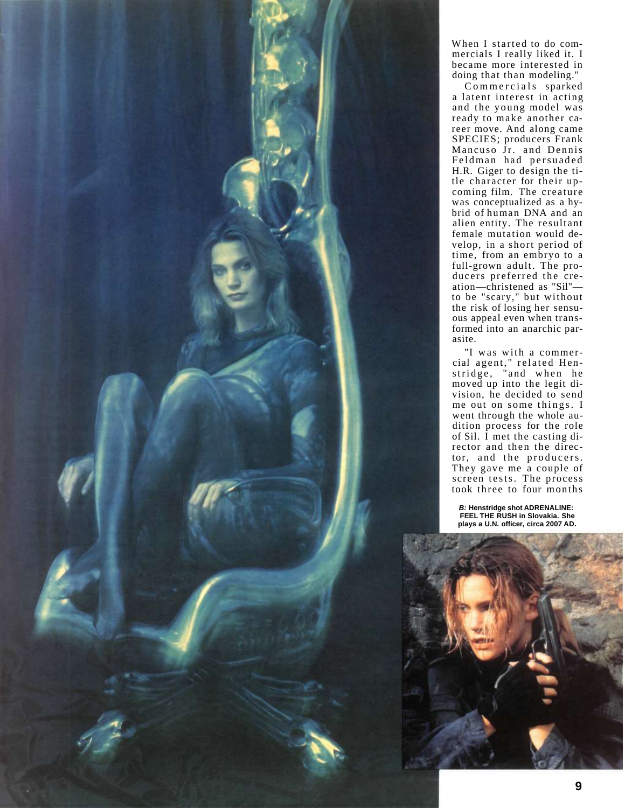

When I started to do commercials I really liked it. I became more interested in doing that than modeling."

Commercials sparked a latent interest in acting and the young model was ready to make another career move. And along came SPECIES; producers Frank Mancuso Jr. and Dennis Feldman had persuaded H.R. Giger to design the title character for their upcoming film. The creature was conceptualized as a hybrid of human DNA and an alien entity. The resultant female mutation would develop, in a short period of time, from an embryo to a full-grown adult. The producers preferred the creation—christened as "Sil" to be "scary," but without the risk of losing her sensuous appeal even when transformed into an anarchic parasite.

"I was with a commercial agent," related Henstridge, "and when he moved up into the legit division, he decided to send me out on some things. I went through the whole audition process for the role of Sil. I met the casting director and then the director, and the producers. They gave me a couple of screen tests. The process took three to four months

**B: Henstridge shot ADRENALINE: FEEL THE RUSH in Slovakia. She plays a U.N. officer, circa 2007 AD.**

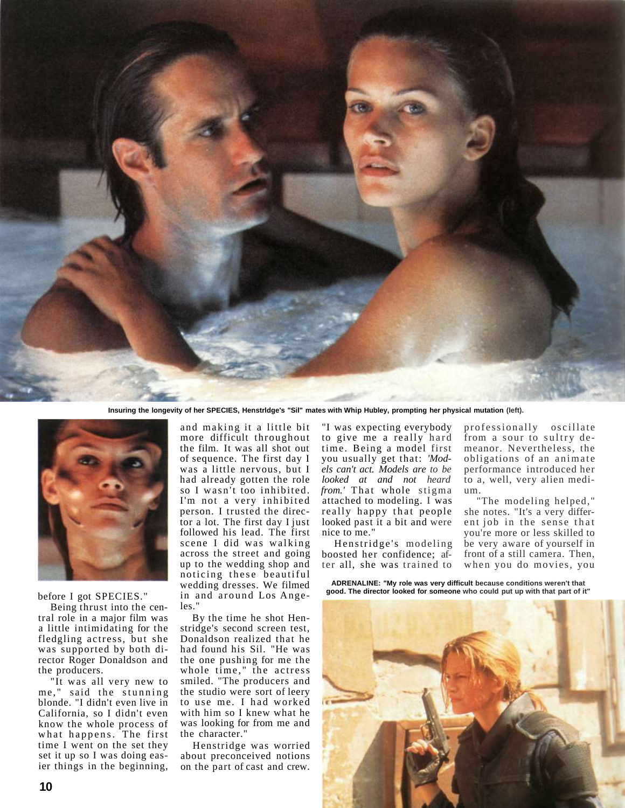

**Insuring the longevity of her SPECIES, Henstrldge's "Sil" mates with Whip Hubley, prompting her physical mutation (left).**



before I got SPECIES."

Being thrust into the central role in a major film was a little intimidating for the fledgling actress, but she was supported by both director Roger Donaldson and the producers.

"It was all very new to me." said the stunning blonde. "I didn't even live in California, so I didn't even know the whole process of what happens. The first time I went on the set they set it up so I was doing easier things in the beginning, and making it a little bit more difficult throughout the film. It was all shot out of sequence. The first day I was a little nervous, but I had already gotten the role so I wasn't too inhibited. I'm not a very inhibited person. I trusted the director a lot. The first day I just followed his lead. The first scene I did was walking across the street and going up to the wedding shop and noticing these beautiful wedding dresses. We filmed in and around Los Angeles."

By the time he shot Henstridge's second screen test, Donaldson realized that he had found his Sil. "He was the one pushing for me the whole time," the actress smiled. "The producers and the studio were sort of leery to use me. I had worked with him so I knew what he was looking for from me and the character."

Henstridge was worried about preconceived notions on the part of cast and crew.

"I was expecting everybody to give me a really hard time. Being a model first you usually get that: *'Models can't act. Models are to be looked at and not heard from.'* That whole stigma attached to modeling. I was really happy that people looked past it a bit and were nice to me."

Henstridge's modeling boosted her confidence; after all, she was trained to professionally oscillate from a sour to sultry demeanor. Nevertheless, the obligations of an animate performance introduced her to a, well, very alien medium.

"The modeling helped," she notes. "It's a very different job in the sense that you're more or less skilled to be very aware of yourself in front of a still camera. Then, when you do movies, you

**ADRENALINE: "My role was very difficult because conditions weren't that good. The director looked for someone who could put up with that part of it"**

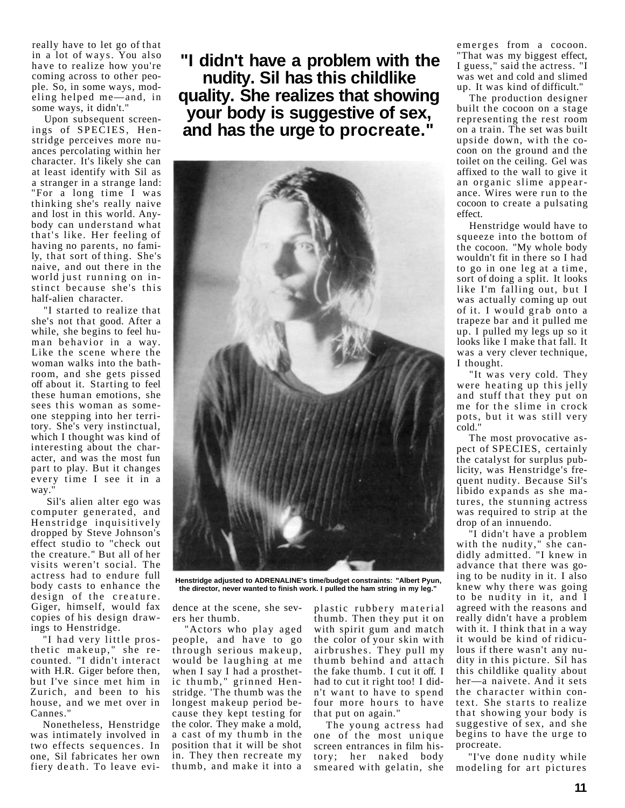really have to let go of that in a lot of ways. You also have to realize how you're coming across to other people. So, in some ways, modeling helped me—and, in some ways, it didn't."

Upon subsequent screenings of SPECIES, Henstridge perceives more nuances percolating within her character. It's likely she can at least identify with Sil as a stranger in a strange land: "For a long time I was thinking she's really naive and lost in this world. Anybody can understand what that's like. Her feeling of having no parents, no family, that sort of thing. She's naive, and out there in the world just running on instinct because she's this half-alien character.

"I started to realize that she's not that good. After a while, she begins to feel human behavior in a way. Like the scene where the woman walks into the bathroom, and she gets pissed off about it. Starting to feel these human emotions, she sees this woman as someone stepping into her territory. She's very instinctual, which I thought was kind of interesting about the character, and was the most fun part to play. But it changes every time I see it in a way.

Sil's alien alter ego was computer generated, and Henstridge inquisitively dropped by Steve Johnson's effect studio to "check out the creature." But all of her visits weren't social. The actress had to endure full body casts to enhance the design of the creature. Giger, himself, would fax copies of his design drawings to Henstridge.

"I had very little prosthetic makeup," she recounted. "I didn't interact with H.R. Giger before then, but I've since met him in Zurich, and been to his house, and we met over in Cannes."

Nonetheless, Henstridge was intimately involved in two effects sequences. In one, Sil fabricates her own fiery death. To leave evi-

**"I didn't have a problem with the nudity. Sil has this childlike quality. She realizes that showing your body is suggestive of sex, and has the urge to procreate."**



**Henstridge adjusted to ADRENALINE's time/budget constraints: "Albert Pyun, the director, never wanted to finish work. I pulled the ham string in my leg."**

dence at the scene, she severs her thumb.

"Actors who play aged people, and have to go through serious makeup, would be laughing at me when I say I had a prosthetic thumb," grinned Henstridge. 'The thumb was the longest makeup period because they kept testing for the color. They make a mold, a cast of my thumb in the position that it will be shot in. They then recreate my thumb, and make it into a

plastic rubbery material thumb. Then they put it on with spirit gum and match the color of your skin with airbrushes. They pull my thumb behind and attach the fake thumb. I cut it off. I had to cut it right too! I didn't want to have to spend four more hours to have that put on again."

The young actress had one of the most unique screen entrances in film history; her naked body smeared with gelatin, she emerges from a cocoon. "That was my biggest effect, I guess," said the actress. "I was wet and cold and slimed up. It was kind of difficult."

The production designer built the cocoon on a stage representing the rest room on a train. The set was built upside down, with the cocoon on the ground and the toilet on the ceiling. Gel was affixed to the wall to give it an organic slime appearance. Wires were run to the cocoon to create a pulsating effect.

Henstridge would have to squeeze into the bottom of the cocoon. "My whole body wouldn't fit in there so I had to go in one leg at a time , sort of doing a split. It looks like I'm falling out, but I was actually coming up out of it. I would grab onto a trapeze bar and it pulled me up. I pulled my legs up so it looks like I make that fall. It was a very clever technique, I thought.

"It was very cold. They were heating up this jelly and stuff that they put on me for the slime in crock pots, but it was still very cold."

The most provocative aspect of SPECIES, certainly the catalyst for surplus publicity, was Henstridge's frequent nudity. Because Sil's libido expands as she matures, the stunning actress was required to strip at the drop of an innuendo.

"I didn't have a problem with the nudity," she candidly admitted. "I knew in advance that there was going to be nudity in it. I also knew why there was going to be nudity in it, and I agreed with the reasons and really didn't have a problem with it. I think that in a way it would be kind of ridiculous if there wasn't any nudity in this picture. Sil has this childlike quality about her—a naivete. And it sets the character within context. She starts to realize that showing your body is suggestive of sex, and she begins to have the urge to procreate.

"I've done nudity while modeling for art pictures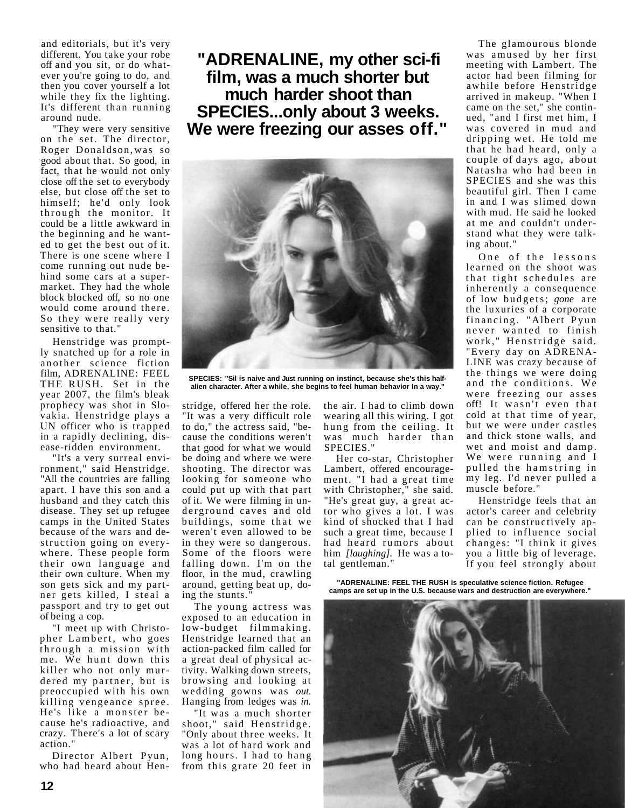and editorials, but it's very different. You take your robe off and you sit, or do whatever you're going to do, and then you cover yourself a lot while they fix the lighting. It's different than running around nude.

"They were very sensitive on the set. The director, Roger Donaldson, was so good about that. So good, in fact, that he would not only close off the set to everybody else, but close off the set to himself; he'd only look through the monitor. It could be a little awkward in the beginning and he wanted to get the best out of it. There is one scene where I come running out nude behind some cars at a supermarket. They had the whole block blocked off, so no one would come around there. So they were really very sensitive to that."

Henstridge was promptly snatched up for a role in another science fiction film, ADRENALINE: FEEL THE RUSH. Set in the year 2007, the film's bleak prophecy was shot in Slovakia. Henstridge plays a UN officer who is trapped in a rapidly declining, disease-ridden environment.

"It's a very surreal environment," said Henstridge. "All the countries are falling apart. I have this son and a husband and they catch this disease. They set up refugee camps in the United States because of the wars and destruction going on everywhere. These people form their own language and their own culture. When my son gets sick and my partner gets killed, I steal a passport and try to get out of being a cop.

"I meet up with Christopher Lambert, who goes through a mission with me. We hunt down this killer who not only murdered my partner, but is preoccupied with his own killing vengeance spree. He's like a monster because he's radioactive, and crazy. There's a lot of scary action."

Director Albert Pyun, who had heard about Hen-

**"ADRENALINE, my other sci-fi film, was a much shorter but much harder shoot than SPECIES...only about 3 weeks. We were freezing our asses off."**



**SPECIES: "Sil is naive and Just running on instinct, because she's this halfalien character. After a while, she begins to feel human behavior In a way."**

stridge, offered her the role. "It was a very difficult role to do," the actress said, "because the conditions weren't that good for what we would be doing and where we were shooting. The director was looking for someone who could put up with that part of it. We were filming in underground caves and old buildings, some that we weren't even allowed to be in they were so dangerous. Some of the floors were falling down. I'm on the floor, in the mud, crawling around, getting beat up, doing the stunts."

The young actress was exposed to an education in low-budget filmmaking. Henstridge learned that an action-packed film called for a great deal of physical activity. Walking down streets, browsing and looking at wedding gowns was *out*. Hanging from ledges was *in.*

"It was a much shorter shoot," said Henstridge. "Only about three weeks. It was a lot of hard work and long hours. I had to hang from this grate 20 feet in

the air. I had to climb down wearing all this wiring. I got hung from the ceiling. It was much harder than SPECIES."

Her co-star, Christopher Lambert, offered encouragement. "I had a great time with Christopher," she said. "He's great guy, a great actor who gives a lot. I was kind of shocked that I had such a great time, because I had heard rumors about him *[laughing].* He was a total gentleman."

The glamourous blonde was amused by her first meeting with Lambert. The actor had been filming for awhile before Henstridge arrived in makeup. "When I came on the set," she continued, "and I first met him, I was covered in mud and dripping wet. He told me that he had heard, only a couple of days ago, about Natasha who had been in SPECIES and she was this beautiful girl. Then I came in and I was slimed down with mud. He said he looked at me and couldn't understand what they were talking about."

One of the lessons learned on the shoot was that tight schedules are inherently a consequence of low budgets; *gone* are the luxuries of a corporate financing. "Albert Pyun never wanted to finish work," Henstridge said. "Every day on ADRENA-LINE was crazy because of the things we were doing and the conditions. We were freezing our asses off! It wasn't even that cold at that time of year, but we were under castles and thick stone walls, and wet and moist and damp. We were running and I pulled the hamstring in my leg. I'd never pulled a muscle before."

Henstridge feels that an actor's career and celebrity can be constructively applied to influence social changes: "I think it gives you a little big of leverage. If you feel strongly about

**"ADRENALINE: FEEL THE RUSH is speculative science fiction. Refugee camps are set up in the U.S. because wars and destruction are everywhere."**